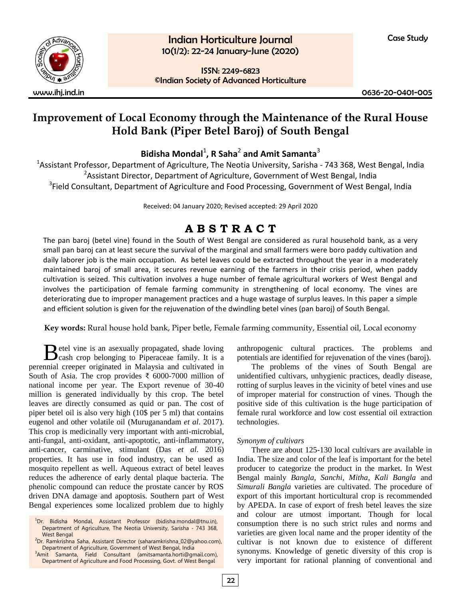

ISSN: 2249-6823

©Indian Society of Advanced Horticulture

www.ihj.ind.in 0636-20-0401-005

## **Improvement of Local Economy through the Maintenance of the Rural House Hold Bank (Piper Betel Baroj) of South Bengal**

**Bidisha Mondal**<sup>1</sup> **, R Saha**<sup>2</sup> **and Amit Samanta**<sup>3</sup>

<sup>1</sup>Assistant Professor, Department of Agriculture, The Neotia University, Sarisha - 743 368, West Bengal, India <sup>2</sup>Assistant Director, Department of Agriculture, Government of West Bengal, India <sup>3</sup>Field Consultant, Department of Agriculture and Food Processing, Government of West Bengal, India

Received: 04 January 2020; Revised accepted: 29 April 2020

# **A B S T R A C T**

The pan baroj (betel vine) found in the South of West Bengal are considered as rural household bank, as a very small pan baroj can at least secure the survival of the marginal and small farmers were boro paddy cultivation and daily laborer job is the main occupation. As betel leaves could be extracted throughout the year in a moderately maintained baroj of small area, it secures revenue earning of the farmers in their crisis period, when paddy cultivation is seized. This cultivation involves a huge number of female agricultural workers of West Bengal and involves the participation of female farming community in strengthening of local economy. The vines are deteriorating due to improper management practices and a huge wastage of surplus leaves. In this paper a simple and efficient solution is given for the rejuvenation of the dwindling betel vines (pan baroj) of South Bengal.

**Key words:** Rural house hold bank, Piper betle, Female farming community, Essential oil, Local economy

etel vine is an asexually propagated, shade loving Betel vine is an asexually propagated, shade loving<br>cash crop belonging to Piperaceae family. It is a perennial creeper originated in Malaysia and cultivated in South of Asia. The crop provides ₹ 6000-7000 million of national income per year. The Export revenue of 30-40 million is generated individually by this crop. The betel leaves are directly consumed as quid or pan. The cost of piper betel oil is also very high (10\$ per 5 ml) that contains eugenol and other volatile oil (Muruganandam *et al*. 2017). This crop is medicinally very important with anti-microbial, anti-fungal, anti-oxidant, anti-apoptotic, anti-inflammatory, anti-cancer, carminative, stimulant (Das *et al*. 2016) properties. It has use in food industry, can be used as mosquito repellent as well. Aqueous extract of betel leaves reduces the adherence of early dental plaque bacteria. The phenolic compound can reduce the prostate cancer by ROS driven DNA damage and apoptosis. Southern part of West Bengal experiences some localized problem due to highly

anthropogenic cultural practices. The problems and potentials are identified for rejuvenation of the vines (baroj).

The problems of the vines of South Bengal are unidentified cultivars, unhygienic practices, deadly disease, rotting of surplus leaves in the vicinity of betel vines and use of improper material for construction of vines. Though the positive side of this cultivation is the huge participation of female rural workforce and low cost essential oil extraction technologies.

### *Synonym of cultivars*

There are about 125-130 local cultivars are available in India. The size and color of the leaf is important for the betel producer to categorize the product in the market. In West Bengal mainly *Bangla, Sanchi, Mitha, Kali Bangla* and *Simurali Bangla* varieties are cultivated. The procedure of export of this important horticultural crop is recommended by APEDA. In case of export of fresh betel leaves the size and colour are utmost important. Though for local consumption there is no such strict rules and norms and varieties are given local name and the proper identity of the cultivar is not known due to existence of different synonyms. Knowledge of genetic diversity of this crop is very important for rational planning of conventional and

<sup>&</sup>lt;sup>1</sup>Dr. Bidisha Mondal, Assistant Professor (bidisha.mondal@tnu.in), Department of Agriculture, The Neotia University, Sarisha - 743 368, West Bengal

<sup>2</sup>Dr. Ramkrishna Saha, Assistant Director (saharamkrishna\_02@yahoo.com), Department of Agriculture, Government of West Bengal, India 3 Amit Samanta, Field Consultant (amitsamanta.horti@gmail.com),

Department of Agriculture and Food Processing, Govt. of West Bengal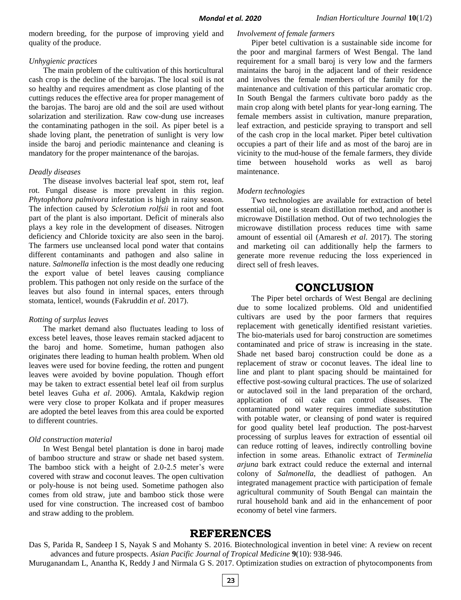modern breeding, for the purpose of improving yield and quality of the produce.

#### *Unhygienic practices*

The main problem of the cultivation of this horticultural cash crop is the decline of the barojas. The local soil is not so healthy and requires amendment as close planting of the cuttings reduces the effective area for proper management of the barojas. The baroj are old and the soil are used without solarization and sterilization. Raw cow-dung use increases the contaminating pathogen in the soil. As piper betel is a shade loving plant, the penetration of sunlight is very low inside the baroj and periodic maintenance and cleaning is mandatory for the proper maintenance of the barojas.

#### *Deadly diseases*

The disease involves bacterial leaf spot, stem rot, leaf rot. Fungal disease is more prevalent in this region. *Phytophthora palmivora* infestation is high in rainy season. The infection caused by *Sclerotium rolfsii* in root and foot part of the plant is also important. Deficit of minerals also plays a key role in the development of diseases. Nitrogen deficiency and Chloride toxicity are also seen in the baroj. The farmers use uncleansed local pond water that contains different contaminants and pathogen and also saline in nature. *Salmonella* infection is the most deadly one reducing the export value of betel leaves causing compliance problem. This pathogen not only reside on the surface of the leaves but also found in internal spaces, enters through stomata, lenticel, wounds (Fakruddin *et al*. 2017).

#### *Rotting of surplus leaves*

The market demand also fluctuates leading to loss of excess betel leaves, those leaves remain stacked adjacent to the baroj and home. Sometime, human pathogen also originates there leading to human health problem. When old leaves were used for bovine feeding, the rotten and pungent leaves were avoided by bovine population. Though effort may be taken to extract essential betel leaf oil from surplus betel leaves Guha *et al*. 2006). Amtala, Kakdwip region were very close to proper Kolkata and if proper measures are adopted the betel leaves from this area could be exported to different countries.

#### *Old construction material*

In West Bengal betel plantation is done in baroj made of bamboo structure and straw or shade net based system. The bamboo stick with a height of 2.0-2.5 meter's were covered with straw and coconut leaves. The open cultivation or poly-house is not being used. Sometime pathogen also comes from old straw, jute and bamboo stick those were used for vine construction. The increased cost of bamboo and straw adding to the problem.

#### *Involvement of female farmers*

Piper betel cultivation is a sustainable side income for the poor and marginal farmers of West Bengal. The land requirement for a small baroj is very low and the farmers maintains the baroj in the adjacent land of their residence and involves the female members of the family for the maintenance and cultivation of this particular aromatic crop. In South Bengal the farmers cultivate boro paddy as the main crop along with betel plants for year-long earning. The female members assist in cultivation, manure preparation, leaf extraction, and pesticide spraying to transport and sell of the cash crop in the local market. Piper betel cultivation occupies a part of their life and as most of the baroj are in vicinity to the mud-house of the female farmers, they divide time between household works as well as baroj maintenance.

#### *Modern technologies*

Two technologies are available for extraction of betel essential oil, one is steam distillation method, and another is microwave Distillation method. Out of two technologies the microwave distillation process reduces time with same amount of essential oil (Amaresh *et al*. 2017). The storing and marketing oil can additionally help the farmers to generate more revenue reducing the loss experienced in direct sell of fresh leaves.

## **CONCLUSION**

The Piper betel orchards of West Bengal are declining due to some localized problems. Old and unidentified cultivars are used by the poor farmers that requires replacement with genetically identified resistant varieties. The bio-materials used for baroj construction are sometimes contaminated and price of straw is increasing in the state. Shade net based baroj construction could be done as a replacement of straw or coconut leaves. The ideal line to line and plant to plant spacing should be maintained for effective post-sowing cultural practices. The use of solarized or autoclaved soil in the land preparation of the orchard, application of oil cake can control diseases. The contaminated pond water requires immediate substitution with potable water, or cleansing of pond water is required for good quality betel leaf production. The post-harvest processing of surplus leaves for extraction of essential oil can reduce rotting of leaves, indirectly controlling bovine infection in some areas. Ethanolic extract of *Terminelia arjuna* bark extract could reduce the external and internal colony of *Salmonella*, the deadliest of pathogen. An integrated management practice with participation of female agricultural community of South Bengal can maintain the rural household bank and aid in the enhancement of poor economy of betel vine farmers.

## **REFERENCES**

Das S, Parida R, Sandeep I S, Nayak S and Mohanty S. 2016. Biotechnological invention in betel vine: A review on recent advances and future prospects. *Asian Pacific Journal of Tropical Medicine* **9**(10): 938-946.

Muruganandam L, Anantha K, Reddy J and Nirmala G S. 2017. Optimization studies on extraction of phytocomponents from